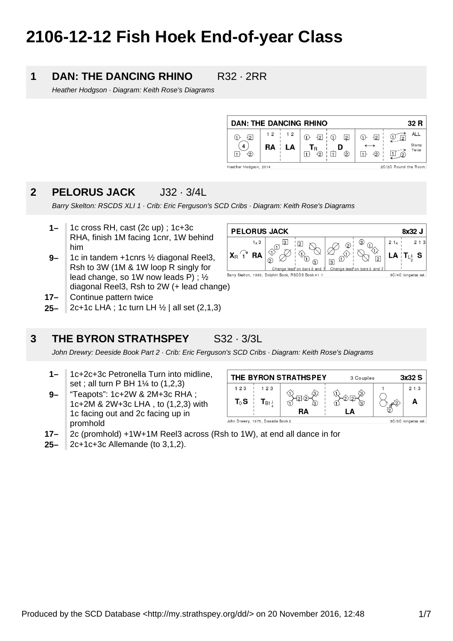# **2106-12-12 Fish Hoek End-of-year Class**

### **1 DAN: THE DANCING RHINO R32 · 2RR**

Heather Hodgson · Diagram: Keith Rose's Diagrams

| <b>DAN: THE DANCING RHINO</b>                  |     |    |                            |  |                |                              | 32 R |                |
|------------------------------------------------|-----|----|----------------------------|--|----------------|------------------------------|------|----------------|
| 121                                            | 12  | 12 | $\overline{2}$<br>(1)      |  | $\overline{2}$ | $\bigoplus$<br>$\frac{1}{2}$ | 2    | ALL            |
| -2                                             | RA. | LA | 'R<br>$\triangleleft$<br>1 |  | 2              | $-2$                         | (2)  | Stamp<br>Twice |
| 2C/2C Round the Room.<br>Heather Hodgson, 2014 |     |    |                            |  |                |                              |      |                |

### **2 PELORUS JACK** J32 · 3/4L

Barry Skelton: RSCDS XLI 1 · Crib: Eric Ferguson's SCD Cribs · Diagram: Keith Rose's Diagrams

**PELORUS JACK** 

 $\textcircled{1}$ 

Barry Skelton, 1993, Dolphin Book, RSCDS Book 41.1

 $\odot$ 

 $\overline{3}$  $\sqrt{2}$ 

⋒

Change lead on bars 3 and

ര

G

 $\boxed{3}$ 

Ch

 $1 \times 3$ 

**RA** 

- **1–** 1c cross RH, cast (2c up) ; 1c+3c RHA, finish 1M facing 1cnr, 1W behind him
- **9–** 1c in tandem +1cnrs ½ diagonal Reel3, Rsh to 3W (1M & 1W loop R singly for lead change, so 1W now leads P) ; ½ diagonal Reel3, Rsh to 2W (+ lead change)
- **17–** Continue pattern twice
- **25–** 2c+1c LHA ; 1c turn LH ½ | all set (2,1,3)

#### **3 THE BYRON STRATHSPEY** S32 · 3/3L

John Drewry: Deeside Book Part 2 · Crib: Eric Ferguson's SCD Cribs · Diagram: Keith Rose's Diagrams

- **1–** 1c+2c+3c Petronella Turn into midline, set ; all turn P BH 1¼ to (1,2,3)
- **9–** "Teapots": 1c+2W & 2M+3c RHA ; 1c+2M & 2W+3c LHA , to (1,2,3) with 1c facing out and 2c facing up in promhold



- **17–** 2c (promhold) +1W+1M Reel3 across (Rsh to 1W), at end all dance in for
- **25–** 2c+1c+3c Allemande (to 3,1,2).

8x32 J

 $T_{L^1}$  S

3C/4C longwise set.

 $213$ 

 $21x$ 

LA

 $\sqrt{2}$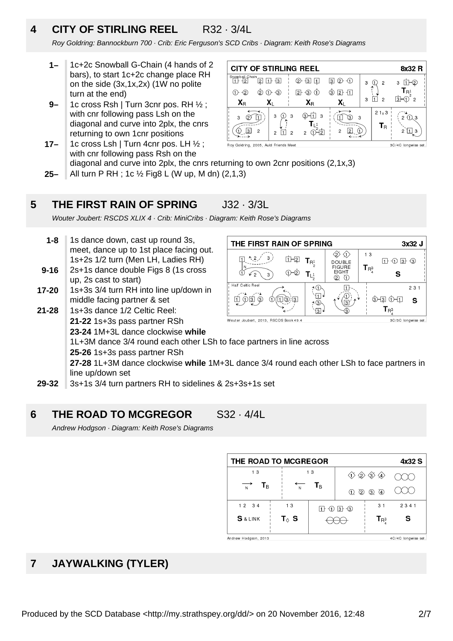## **4 CITY OF STIRLING REEL** R32 · 3/4L

Roy Goldring: Bannockburn 700 · Crib: Eric Ferguson's SCD Cribs · Diagram: Keith Rose's Diagrams

- **1–** 1c+2c Snowball G-Chain (4 hands of 2 bars), to start 1c+2c change place RH on the side (3x,1x,2x) (1W no polite turn at the end)
- **9–** 1c cross Rsh | Turn 3cnr pos. RH ½ ; with cnr following pass Lsh on the diagonal and curve into 2plx, the cnrs returning to own 1cnr positions
- **17–** 1c cross Lsh | Turn 4cnr pos. LH ½ ; Roy Goldring, 2005, Auld Friends Mee with cnr following pass Rsh on the diagonal and curve into 2plx, the cnrs returning to own 2cnr positions (2,1x,3)
- **25–** All turn P RH ; 1c ½ Fig8 L (W up, M dn) (2,1,3)

### **5 THE FIRST RAIN OF SPRING** J32 · 3/3L

Wouter Joubert: RSCDS XLIX 4 · Crib: MiniCribs · Diagram: Keith Rose's Diagrams

- **9-16 1-8** 1s dance down, cast up round 3s, meet, dance up to 1st place facing out. 1s+2s 1/2 turn (Men LH, Ladies RH) 2s+1s dance double Figs 8 (1s cross
- **17-20** up, 2s cast to start) 1s+3s 3/4 turn RH into line up/down in
- **21-28** middle facing partner & set 1s+3s dance 1/2 Celtic Reel:
	- **21-22** 1s+3s pass partner RSh
		- **23-24** 1M+3L dance clockwise **while**

1L+3M dance 3/4 round each other LSh to face partners in line across

**25-26** 1s+3s pass partner RSh

**27-28** 1L+3M dance clockwise **while** 1M+3L dance 3/4 round each other LSh to face partners in line up/down set

**29-32** 3s+1s 3/4 turn partners RH to sidelines & 2s+3s+1s set

### **6 THE ROAD TO MCGREGOR** S32 · 4/4L

Andrew Hodgson · Diagram: Keith Rose's Diagrams

| THE ROAD TO MCGREGOR<br>4x32 S |                 |    |                                                                                         |                                                                 |                     |  |
|--------------------------------|-----------------|----|-----------------------------------------------------------------------------------------|-----------------------------------------------------------------|---------------------|--|
| 13                             |                 | 13 |                                                                                         | $\textcircled{1}\otimes \textcircled{2}\otimes \textcircled{4}$ |                     |  |
| $T_B$<br>N                     | N               | Tв | ©<br>⋒                                                                                  | $\circled{4}$<br>$\circledS$                                    |                     |  |
| $12 \t34$                      | 13              |    | $\mathbf{I}$ + $\mathbf{I}$ + $\mathbf{I}$ + $\mathbf{I}$ + $\mathbf{I}$ + $\mathbf{I}$ | 31                                                              | 2341                |  |
| <b>S</b> & LINK                | T $_\lozenge$ S |    |                                                                                         | $T_{\rm R_2^3}$                                                 | S                   |  |
| Andrew Hodgson, 2013           |                 |    |                                                                                         |                                                                 | 4C/4C longwise set. |  |

### **7 JAYWALKING (TYLER)**

| <b>CITY OF STIRLING REEL</b><br>8x32 R                       |                                  |                              |                                    |   |                         |                                          |  |
|--------------------------------------------------------------|----------------------------------|------------------------------|------------------------------------|---|-------------------------|------------------------------------------|--|
| Snowball Chain<br> 2 <br>12                                  | $1 + 3$                          | (2)<br>$+3$                  | $\circledcirc$ $\circledcirc$<br>3 | 3 | $\overline{2}$          | 2<br>3                                   |  |
| $(2)$<br>$\left(2\right)$                                    | $\lnot$ 3<br>(1)-                | $\overline{2}$<br>(3)<br>(1) | $2 + 11$<br>③                      | 3 | $\mathcal{P}$           | R <sup>1</sup><br> 3  <br>$\overline{2}$ |  |
| $\mathbf{X}_{\mathsf{R}}$                                    | Xı                               | $\mathbf{X}_{\text{R}}$      | Xı                                 |   |                         |                                          |  |
| 3                                                            | 3<br>3                           | 3                            | 3.<br>3                            |   | $21\times 3$            | 1). 3                                    |  |
| $\overline{2}$<br>13                                         | $\overline{2}$<br>$\overline{c}$ | $\overline{2}$               | 2<br>2                             |   | $\mathsf{T}_\mathsf{R}$ | 3                                        |  |
| Roy Goldring, 2005, Auld Friends Meet<br>3C/4C longwise set. |                                  |                              |                                    |   |                         |                                          |  |

THE FIRST RAIN OF SPRING 3x32 J  $\otimes$   $\otimes$  $13$ 山田  $\Box$   $\Box$   $\Box$   $\Box$  $T_{R^1}$ DOUBLE<br>FIGURE  $T_{\mathsf{R}^3_4}$  $O-2$  $T_{L_2^1}$ **FIGHT** S  $Q$   $Q$ Half Caltic Ree 7 ①  $\overline{1}$  $231$ `Ю้ A) 山の白の 血③国  $\bigcirc$  and  $\bigcirc$   $\bigcirc$  $\bigcap$  $\mathbf{S}$ 7 Q (⊡  $T_{R^3}$  $\overline{3}$  $\circledR$ Wouter Joubert, 2013, RSCDS Book 49.4 3C/3C longwise set.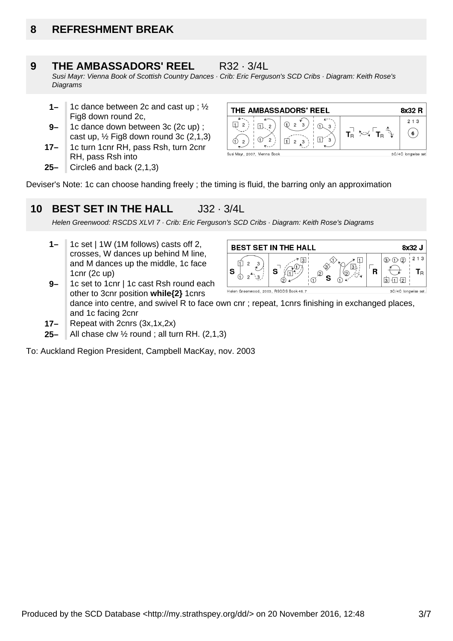## **8 REFRESHMENT BREAK**

#### **9 THE AMBASSADORS' REEL** R32 · 3/4L

Susi Mayr: Vienna Book of Scottish Country Dances · Crib: Eric Ferguson's SCD Cribs · Diagram: Keith Rose's **Diagrams** 

- **1–** 1c dance between 2c and cast up ; ½ Fig8 down round 2c,
- **9–** 1c dance down between 3c (2c up) ; cast up,  $\frac{1}{2}$  Fig8 down round 3c (2,1,3)
- **17–** 1c turn 1cnr RH, pass Rsh, turn 2cnr RH, pass Rsh into
- **25–** Circle6 and back (2,1,3)



Deviser's Note: 1c can choose handing freely ; the timing is fluid, the barring only an approximation

#### **10 BEST SET IN THE HALL** J32 · 3/4L

Helen Greenwood: RSCDS XLVI 7 · Crib: Eric Ferguson's SCD Cribs · Diagram: Keith Rose's Diagrams

- **1–** 1c set | 1W (1M follows) casts off 2, crosses, W dances up behind M line, and M dances up the middle, 1c face 1cnr (2c up) 1c set to 1cnr | 1c cast Rsh round each
- **BEST SET IN THE HALL** 8x32 J  $213$  $\textcircled{3}$   $\textcircled{1}$   $\textcircled{2}$ € 印  $\overline{2}$ 3  $\sqrt{3}$ S R S  $T_{\rm R}$ ん  $\overline{3}$  $\mathbf{s}$ ां ना न्य Helen Greenwood, 2003, RSCDS Book 46.7 3C/4C longwise set

other to 3cnr position **while{2}** 1cnrs dance into centre, and swivel R to face own cnr ; repeat, 1cnrs finishing in exchanged places, and 1c facing 2cnr

**17–** Repeat with 2cnrs (3x,1x,2x)

**9–**

**25–** All chase clw  $\frac{1}{2}$  round ; all turn RH. (2,1,3)

To: Auckland Region President, Campbell MacKay, nov. 2003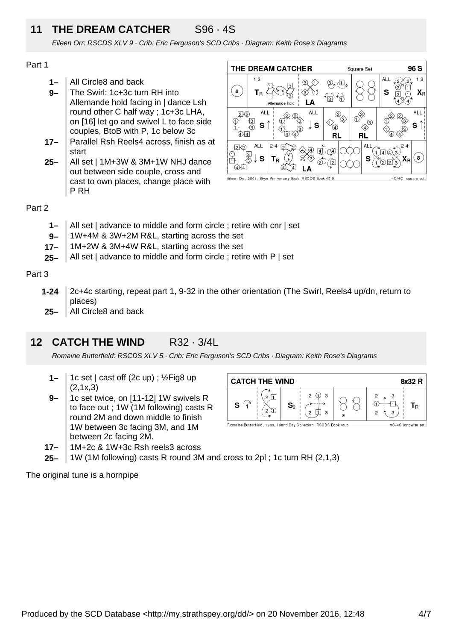## **11 THE DREAM CATCHER** S96 · 4S

Eileen Orr: RSCDS XLV 9 · Crib: Eric Ferguson's SCD Cribs · Diagram: Keith Rose's Diagrams

## Part 1

- **1–** All Circle8 and back
- **9–** The Swirl: 1c+3c turn RH into Allemande hold facing in | dance Lsh round other C half way ; 1c+3c LHA, on [16] let go and swivel L to face side couples, BtoB with P, 1c below 3c
- **17–** Parallel Rsh Reels4 across, finish as at start
- **25–** All set | 1M+3W & 3M+1W NHJ dance out between side couple, cross and cast to own places, change place with P RH



## Part 2

- **1–** All set | advance to middle and form circle ; retire with cnr | set
- **9–** 1W+4M & 3W+2M R&L, starting across the set
- **17–** 1M+2W & 3M+4W R&L, starting across the set
- **25–** All set | advance to middle and form circle ; retire with P | set

## Part 3

- **1-24** 2c+4c starting, repeat part 1, 9-32 in the other orientation (The Swirl, Reels4 up/dn, return to places)
- **25–** All Circle8 and back

#### **12 CATCH THE WIND R32 · 3/4L**

Romaine Butterfield: RSCDS XLV 5 · Crib: Eric Ferguson's SCD Cribs · Diagram: Keith Rose's Diagrams

- **1–** 1c set | cast off (2c up) ; ½Fig8 up (2,1x,3)
- **9–** 1c set twice, on [11-12] 1W swivels R to face out ; 1W (1M following) casts R round 2M and down middle to finish 1W between 3c facing 3M, and 1M between 2c facing 2M.



- **17–** 1M+2c & 1W+3c Rsh reels3 across
- **25–** 1W (1M following) casts R round 3M and cross to 2pl ; 1c turn RH (2,1,3)

The original tune is a hornpipe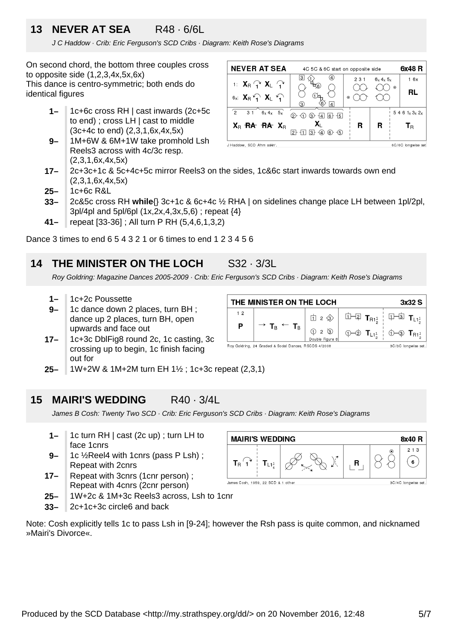## **13 NEVER AT SEA** R48 · 6/6L

J C Haddow · Crib: Eric Ferguson's SCD Cribs · Diagram: Keith Rose's Diagrams

On second chord, the bottom three couples cross to opposite side  $(1,2,3,4x,5x,6x)$ This dance is centro-symmetric; both ends do identical figures

- **1–** 1c+6c cross RH | cast inwards (2c+5c to end) ; cross LH | cast to middle (3c+4c to end) (2,3,1,6x,4x,5x)
- **9–** 1M+6W & 6M+1W take promhold Lsh Reels3 across with 4c/3c resp. (2,3,1,6x,4x,5x)

| <b>NEVER AT SEA</b>                                                          | 4C 5C & 6C start on opposite side                         |     |              | 6x48 R               |
|------------------------------------------------------------------------------|-----------------------------------------------------------|-----|--------------|----------------------|
| 1: $X_R \nightharpoonup X_L \nightharpoonup$<br>$6x$ $X_B$ $Y_1$ $X_L$ $Y_1$ | ₹6.<br>$\odot$                                            | 231 | $6x$ 4x $5x$ | 16x<br>$\odot$<br>RL |
| ່າ<br>6x 4x 5x<br>3 <sub>1</sub>                                             | 4 <br>3)<br>$ 6 + -15 $<br>(2)<br>(3)<br>$\overline{141}$ |     |              | $5461_x3_x2_x$       |
| $X_{B}$ RA RA $X_{B}$                                                        | $(6)$ $(5)$<br>ΙЗ.<br>(4)<br>12 F                         | R   | R            | Т <sub>в</sub>       |
| J Haddow, SCD Ahm askin'.                                                    |                                                           |     |              | 6C/6C longwise set   |

- **17–** 2c+3c+1c & 5c+4c+5c mirror Reels3 on the sides, 1c&6c start inwards towards own end (2,3,1,6x,4x,5x)
- **25–** 1c+6c R&L
- **33–** 2c&5c cross RH **while**{} 3c+1c & 6c+4c ½ RHA | on sidelines change place LH between 1pl/2pl, 3pl/4pl and 5pl/6pl (1x,2x,4,3x,5,6) ; repeat {4}
- **41–** repeat [33-36] ; All turn P RH (5,4,6,1,3,2)

Dance 3 times to end 6 5 4 3 2 1 or 6 times to end 1 2 3 4 5 6

## **14 THE MINISTER ON THE LOCH** S32 · 3/3L

Roy Goldring: Magazine Dances 2005-2009

- **1–** 1c+2c Poussette
- **9–** 1c dance down 2 places, turn BH ; dance up 2 places, turn BH, open upwards and face out
- **17–** 1c+3c DblFig8 round 2c, 1c casting, 3c crossing up to begin, 1c finish facing out for

| THE MINISTER ON THE LOCH<br>3x32S                     |                                                          |       |                                                                                                                                                                                                                                                                                                                                           |                                                                                                                                                                                                                                                                                                                                                                                      |  |
|-------------------------------------------------------|----------------------------------------------------------|-------|-------------------------------------------------------------------------------------------------------------------------------------------------------------------------------------------------------------------------------------------------------------------------------------------------------------------------------------------|--------------------------------------------------------------------------------------------------------------------------------------------------------------------------------------------------------------------------------------------------------------------------------------------------------------------------------------------------------------------------------------|--|
| 12                                                    |                                                          | □ 2 ◇ |                                                                                                                                                                                                                                                                                                                                           | $\overline{u}$ $\overline{u}$ $\overline{u}$ $\overline{u}$ $\overline{u}$ $\overline{u}$ $\overline{u}$ $\overline{u}$ $\overline{u}$ $\overline{u}$ $\overline{u}$ $\overline{u}$ $\overline{u}$ $\overline{u}$ $\overline{u}$ $\overline{u}$ $\overline{u}$ $\overline{u}$ $\overline{u}$ $\overline{u}$ $\overline{u}$ $\overline{u}$ $\overline{u}$ $\overline{u}$ $\overline{$ |  |
| Р                                                     | $\rightarrow$ T <sub>B</sub> $\leftarrow$ T <sub>B</sub> |       | $\begin{tabular}{c c c c c c c c c c} \hline $\bigcirc$ & $\mathbb{Q}$ & $\bigcirc$ & $\mathbb{Q}$ & $\mathbb{T}_{L1_2^1}$ & $\bigcirc$ & $\mathbb{Q}$ & $\mathbb{T}_{R1_2^1}$ \\ \hline \textit{Double Figure 8} & & $\mathbb{Q}$ & & $\mathbb{T}_{L1_2^1}$ & $\bigcirc$ & $\mathbb{Q}$ & $\mathbb{T}_{R1_2^1}$ \\ \hline \end{tabular}$ |                                                                                                                                                                                                                                                                                                                                                                                      |  |
| Roy Goldring, 24 Graded & Social Dances, RSCDS 4/2008 | 3C/3C longwise set.                                      |       |                                                                                                                                                                                                                                                                                                                                           |                                                                                                                                                                                                                                                                                                                                                                                      |  |

**25–** 1W+2W & 1M+2M turn EH 1½ ; 1c+3c repeat (2,3,1)

### **15 MAIRI'S WEDDING** R40 · 3/4L

James B Cosh: Twenty Two SCD · Crib: Eric Ferguson's SCD Cribs · Diagram: Keith Rose's Diagrams

- **1–** 1c turn RH | cast (2c up) ; turn LH to face 1cnrs
- **9–** 1c ½Reel4 with 1cnrs (pass P Lsh) ; Repeat with 2cnrs
- **17–** Repeat with 3cnrs (1cnr person) ; Repeat with 4cnrs (2cnr person)
- **25–** 1W+2c & 1M+3c Reels3 across, Lsh to 1cnr
- **33–** 2c+1c+3c circle6 and back

| Note: Cosh explicitly tells 1c to pass Lsh in [9-24]; however the Rsh pass is quite common, and nicknamed |  |  |  |
|-----------------------------------------------------------------------------------------------------------|--|--|--|
| » Mairi's Divorce«.                                                                                       |  |  |  |

| <b>MAIRI'S WEDDING</b>                                    |                 |  |   |   | 8x40 R     |
|-----------------------------------------------------------|-----------------|--|---|---|------------|
| Тĸ                                                        | 11 <sup>1</sup> |  | ĸ | ◉ | 2 1 3<br>6 |
| James Cosh, 1959, 22 SCD & 1 other<br>3C/4C longwise set. |                 |  |   |   |            |

| . . | THE MINISTER ON THE LOCH                                             | 3x32 |
|-----|----------------------------------------------------------------------|------|
|     |                                                                      |      |
|     | 9 · Crib: Eric Ferguson's SCD Cribs · Diagram: Keith Rose's Diagrams |      |
|     | <b>CH S32 3/3L</b>                                                   |      |
|     |                                                                      |      |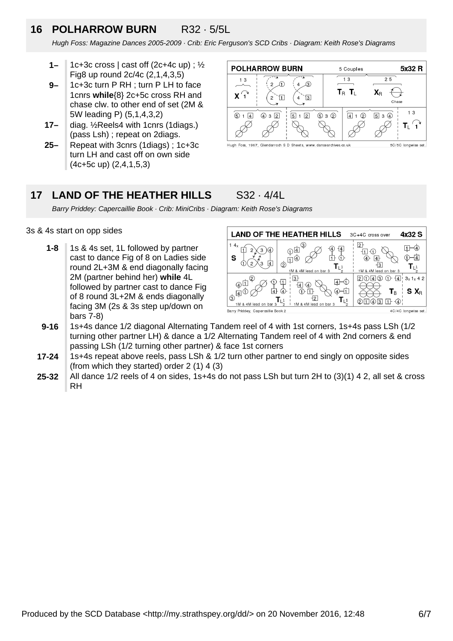## **16 POLHARROW BURN** R32 · 5/5L

Hugh Foss: Magazine Dances 2005-2009 · Crib: Eric Ferguson's SCD Cribs · Diagram: Keith Rose's Diagrams

- **1–** 1c+3c cross  $|$  cast off (2c+4c up) ;  $\frac{1}{2}$ Fig8 up round 2c/4c (2,1,4,3,5)
- **9–** 1c+3c turn P RH ; turn P LH to face 1cnrs **while**{8} 2c+5c cross RH and chase clw. to other end of set (2M & 5W leading P) (5,1,4,3,2)
- **17–** diag. ½Reels4 with 1cnrs (1diags.) (pass Lsh) ; repeat on 2diags.
- **25–** Repeat with 3cnrs (1diags) ; 1c+3c turn LH and cast off on own side (4c+5c up) (2,4,1,5,3)



### **17 LAND OF THE HEATHER HILLS** S32 · 4/4L

Barry Priddey: Capercaillie Book · Crib: MiniCribs · Diagram: Keith Rose's Diagrams

## 3s & 4s start on opp sides

**1-8** 1s & 4s set, 1L followed by partner cast to dance Fig of 8 on Ladies side round 2L+3M & end diagonally facing 2M (partner behind her) **while** 4L followed by partner cast to dance Fig of 8 round 3L+2M & ends diagonally facing 3M (2s & 3s step up/down on bars 7-8)



- **9-16** 1s+4s dance 1/2 diagonal Alternating Tandem reel of 4 with 1st corners, 1s+4s pass LSh (1/2 turning other partner LH) & dance a 1/2 Alternating Tandem reel of 4 with 2nd corners & end passing LSh (1/2 turning other partner) & face 1st corners
- **17-24** 1s+4s repeat above reels, pass LSh & 1/2 turn other partner to end singly on opposite sides (from which they started) order 2 (1) 4 (3)
- **25-32** All dance 1/2 reels of 4 on sides, 1s+4s do not pass LSh but turn 2H to (3)(1) 4 2, all set & cross RH